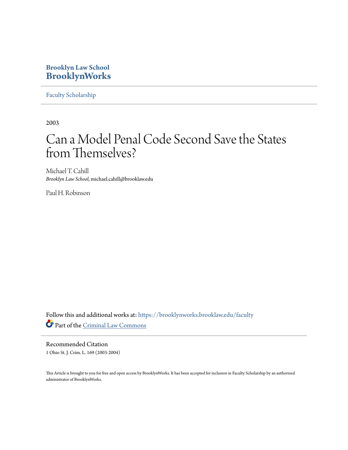## **Brooklyn Law School [BrooklynWorks](https://brooklynworks.brooklaw.edu?utm_source=brooklynworks.brooklaw.edu%2Ffaculty%2F95&utm_medium=PDF&utm_campaign=PDFCoverPages)**

[Faculty Scholarship](https://brooklynworks.brooklaw.edu/faculty?utm_source=brooklynworks.brooklaw.edu%2Ffaculty%2F95&utm_medium=PDF&utm_campaign=PDFCoverPages)

2003

# Can a Model Penal Code Second Save the States from Themselves?

Michael T. Cahill *Brooklyn Law School*, michael.cahill@brooklaw.edu

Paul H. Robinson

Follow this and additional works at: [https://brooklynworks.brooklaw.edu/faculty](https://brooklynworks.brooklaw.edu/faculty?utm_source=brooklynworks.brooklaw.edu%2Ffaculty%2F95&utm_medium=PDF&utm_campaign=PDFCoverPages) Part of the [Criminal Law Commons](http://network.bepress.com/hgg/discipline/912?utm_source=brooklynworks.brooklaw.edu%2Ffaculty%2F95&utm_medium=PDF&utm_campaign=PDFCoverPages)

Recommended Citation 1 Ohio St. J. Crim. L. 169 (2003-2004)

This Article is brought to you for free and open access by BrooklynWorks. It has been accepted for inclusion in Faculty Scholarship by an authorized administrator of BrooklynWorks.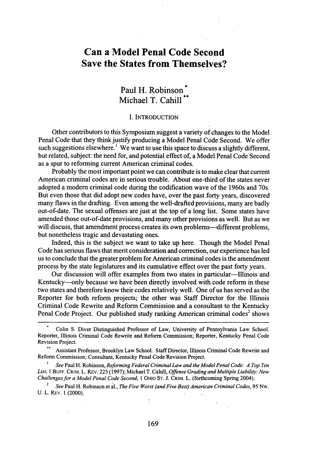## **Can a Model Penal Code Second Save the States from Themselves?**

### Paul H. Robinson **\*** Michael T. Cahill

#### I. INTRODUCTION

Other contributors to this Symposium suggest a variety of changes to the Model Penal Code that they think justify producing a Model Penal Code Second. We offer such suggestions elsewhere.<sup>1</sup> We want to use this space to discuss a slightly different, but related, subject: the need for, and potential effect of, a Model Penal Code Second as a spur to reforming current American criminal codes.

Probably the most important point we can contribute is to make clear that current American criminal codes are in serious trouble. About one-third of the states never adopted a modem criminal code during the codification wave of the 1960s and 70s. But even those that did adopt new codes have, over the past forty years, discovered many flaws in the drafting. Even among the well-drafted provisions, many are badly out-of-date. The sexual offenses are just at the top of a long list. Some states have amended those out-of-date provisions, and many other provisions as well. But as we will discuss, that amendment process creates its own problems—different problems, but nonetheless tragic and devastating ones.

Indeed, this is the subject we want to take up here. Though the Model Penal Code has serious flaws that merit consideration and correction, our experience has led us to conclude that the greater problem for American criminal codes is the amendment process by the state legislatures and its cumulative effect over the past forty years.

Our discussion will offer examples from two states in particular-Illinois and Kentucky-only because we have been directly involved with code reform in these two states and therefore know their codes relatively well. One of us has served as the Reporter for both reform projects; the other was Staff Director for the Illinois Criminal Code Rewrite and Reform Commission and a consultant to the Kentucky Penal Code Project. Our published study ranking American criminal codes<sup>2</sup> shows

*2 See* Paul H. Robinson et al., *The Five Worst (and Five Best) American Criminal Codes, 95* Nw. **U.** L. REv. **1** (2000).

Colin S. Diver Distinguished Professor of Law, University of Pennsylvania Law School. Reporter, Illinois Criminal Code Rewrite and Reform Commission; Reporter, Kentucky Penal Code Revision Project.

Assistant Professor, Brooklyn Law School. Staff Director, Illinois Criminal Code Rewrite and Reform Commission; Consultant, Kentucky Penal Code Revision Project.

**I** *See* Paul H. Robinson, *Reforming Federal Criminal Law and the Model Penal Code: A Top Ten List,* **1 BUFF.** CRIM. L. REv. 225 (1997); Michael T. Cahill, *Offense Grading and Multiple Liability: New Challenges for a Model Penal Code Second,* 1 OHIO ST. J. **CRIM.** L. (forthcoming Spring 2004).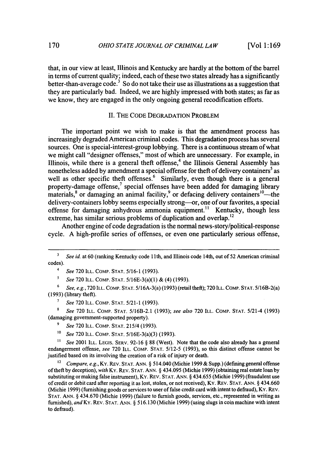that, in our view at least, Illinois and Kentucky are hardly at the bottom of the barrel in terms of current quality; indeed, each of these two states already has a significantly better-than-average code.<sup>3</sup> So do not take their use as illustrations as a suggestion that they are particularly bad. Indeed, we are highly impressed with both states; as far as we know, they are engaged in the only ongoing general recodification efforts.

#### **II.** THE **CODE DEGRADATION** PROBLEM

The important point we wish to make is that the amendment process has increasingly degraded American criminal codes. This degradation process has several sources. One is special-interest-group lobbying. There is a continuous stream of what we might call "designer offenses," most of which are unnecessary. For example, in Illinois, while there is a general theft offense,<sup>4</sup> the Illinois General Assembly has nonetheless added by amendment a special offense for theft of delivery containers<sup>5</sup> as well as other specific theft offenses.<sup>6</sup> Similarly, even though there is a general property-damage offense, $^7$  special offenses have been added for damaging library materials,<sup>8</sup> or damaging an animal facility,<sup>9</sup> or defacing delivery containers<sup>10</sup>—the delivery-containers lobby seems especially strong—or, one of our favorites, a special offense for damaging anhydrous ammonia equipment.<sup>11</sup> Kentucky, though less extreme, has similar serious problems of duplication and overlap.<sup>12</sup>

Another engine of code degradation is the normal news-story/political-response cycle. A high-profile series of offenses, or even one particularly serious offense,

**8** *See* 720 ILL. COMP. STAT. 5/16B-2.1 (1993); *see also* 720 ILL. COMP. STAT. 5/21-4 (1993) (damaging government-supported property).

- *9 See* 720 ILL. COMP. **STAT.** 215/4 (1993).
- *1o See* **720** ILL. COMP. STAT. 5/16E-3(a)(3) (1993).

*11 See* 2001 ILL. LEGIS. SERV. 92-16 **§** 88 (West). Note that the code also already has a general endangerment offense, *see* 720 ILL. COMP. STAT. 5/12-5 (1993), so this distinct offense cannot be justified based on its involving the creation of a risk of injury or death.

*12 Compare, e.g.,* Ky. REv. STAT. ANN. § 514.040 (Michie 1999 & Supp.) (defining general offense of theft by deception), *with* Ky. REv. STAT. ANN. § 434.095 (Michie 1999) (obtaining real estate loan by substituting or making false instrument), Ky. REv. STAT. ANN. § 434.655 (Michie 1999) (fraudulent use of credit or debit card after reporting it as lost, stolen, or not received), Ky. REV. STAT. ANN. § 434.660 (Michie 1999) (furnishing goods or services to user of false credit card with intent to defraud), Ky. REv. STAT. ANN. § 434.670 (Michie 1999) (failure to furnish goods, services, etc., represented in writing as furnished), and Ky. REV. STAT. ANN. § 516.130 (Michie 1999) (using slugs in coin machine with intent to defraud).

<sup>&</sup>lt;sup>3</sup> *See id.* at 60 (ranking Kentucky code 11th, and Illinois code 14th, out of 52 American criminal codes).

*<sup>4</sup> See* 720 ILL. COMP. STAT. 5/16-1 (1993).

*<sup>5</sup> See* 720 ILL. COMP. STAT. 5/16E-3(a)(1) & (4) (1993).

<sup>6</sup>*See, e.g.,* 720 ILL. COMP. STAT. 5/16A-3(a) (1993) (retail theft); 720 ILL. COMP. STAT. 5/16B-2(a) (1993) (library theft).

*<sup>7</sup> See* 720 ILL. COMP. STAT. 5/21-1 (1993).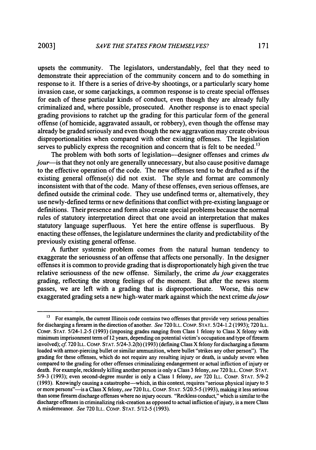upsets the community. The legislators, understandably, feel that they need to demonstrate their appreciation of the community concern and to do something in response to it. If there is a series of drive-by shootings, or a particularly scary home invasion case, or some carjackings, a common response is to create special offenses for each of these particular kinds of conduct, even though they are already fully criminalized and, where possible, prosecuted. Another response is to enact special grading provisions to ratchet up the grading for this particular form of the general offense (of homicide, aggravated assault, or robbery), even though the offense may already be graded seriously and even though the new aggravation may create obvious disproportionalities when compared with other existing offenses. The legislation serves to publicly express the recognition and concern that is felt to be needed.<sup>13</sup>

The problem with both sorts of legislation--designer offenses and crimes *du jour-is* that they not only are generally unnecessary, but also cause positive damage to the effective operation of the code. The new offenses tend to be drafted as if the existing general offense(s) did not exist. The style and format are commonly inconsistent with that of the code. Many of these offenses, even serious offenses, are defined outside the criminal code. They use undefined terms or, alternatively, they use newly-defined terms or new definitions that conflict with pre-existing language or definitions. Their presence and form also create special problems because the normal rules of statutory interpretation direct that one avoid an interpretation that makes statutory language superfluous. Yet here the entire offense is superfluous. By enacting these offenses, the legislature undermines the clarity and predictability of the previously existing general offense.

A further systemic problem comes from the natural human tendency to exaggerate the seriousness of an offense that affects one personally. In the designer offenses it is common to provide grading that is disproportionately high given the true relative seriousness of the new offense. Similarly, the crime *du jour* exaggerates grading, reflecting the strong feelings of the moment. But after the news storm passes, we are left with a grading that is disproportionate. Worse, this new exaggerated grading sets a new high-water mark against which the next crime *dujour*

<sup>&</sup>lt;sup>13</sup> For example, the current Illinois code contains two offenses that provide very serious penalties for discharging a firearm in the direction of another. *See* 720 ILL. COMP. STAT. 5/24-1.2 (1993); 720 ILL. COMP. STAT. 5/24-1.2-5 (1993) (imposing grades ranging from Class 1 felony to Class X felony with minimum imprisonment term of 12 years, depending on potential victim's occupation and type of firearm involved); *cf* 720 ILL. COMP. STAT. 5/24-3.2(b) (1993) (defining Class X felony for discharging a firearm loaded with armor-piercing bullet or similar ammunition, where bullet "strikes any other person"). The grading for these offenses, which do not require any resulting injury or death, is unduly severe when compared to the grading for other offenses criminalizing endangerment or actual infliction of injury or death. For example, recklessly killing another person is only a Class 3 felony, see 720 ILL. COMP. STAT. 5/9-3 (1993); even second-degree murder is only a Class 1 felony, *see* 720 ILL. COMP. STAT. 5/9-2 (1993). Knowingly causing a catastrophe-which, in this context, requires "serious physical injury to 5 or more persons"--is a Class X felony, *see* 720 ILL. COMP. STAT. 5/20.5-5 (1993), making it less serious than some firearm discharge offenses where no injury occurs. "Reckless conduct," which is similar to the discharge offenses in criminalizing risk-creation as opposed to actual infliction of injury, is a mere Class A misdemeanor. *See* 720 ILL. COMP. STAT. 5/12-5 (1993).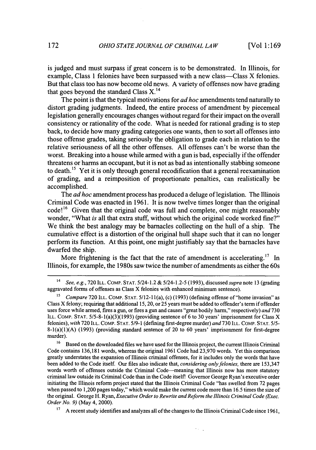is judged and must surpass if great concern is to be demonstrated. In Illinois, for example, Class 1 felonies have been surpassed with a new class—Class X felonies. But that class too has now become old news. A variety of offenses now have grading that goes beyond the standard Class  $X<sup>14</sup>$ .

The point is that the typical motivations for *ad hoc* amendments tend naturally to distort grading judgments. Indeed, the entire process of amendment by piecemeal legislation generally encourages changes without regard for their impact on the overall consistency or rationality of the code. What is needed for rational grading is to step back, to decide how many grading categories one wants, then to sort all offenses into those offense grades, taking seriously the obligation to grade each in relation to the relative seriousness of all the other offenses. All offenses can't be worse than the worst. Breaking into a house while armed with a gun is bad, especially if the offender threatens or harms an occupant, but it is not as bad as intentionally stabbing someone to death.<sup>15</sup> Yet it is only through general recodification that a general reexamination of grading, and a reimposition of proportionate penalties, can realistically be accomplished.

The *ad hoc* amendment process has produced a deluge of legislation. The Illinois Criminal Code was enacted in 1961. It is now twelve times longer than the original code! **16** Given that the original code was full and complete, one might reasonably wonder, "What *is* all that extra stuff, without which the original code worked fine?" We think the best analogy may be barnacles collecting on the hull of a ship. The cumulative effect is a distortion of the original hull shape such that it can no longer perform its function. At this point, one might justifiably say that the barnacles have dwarfed the ship.

More frightening is the fact that the rate of amendment is accelerating.<sup>17</sup> In Illinois, for example, the 1980s saw twice the number of amendments as either the 60s

**<sup>17</sup>**A recent study identifies and analyzes all of the changes to the Illinois Criminal Code since 1961,

 $\mathcal{O}_{\mathcal{A}}$  .

<sup>14</sup>See, e.g., 720 ILL. COMP. STAT. 5/24-1.2 & 5/24-1.2-5 (1993), discussed *supra* note 13 (grading aggravated forms of offenses as Class X felonies with enhanced minimum sentence).

**<sup>15</sup>***Compare* 720 ILL. COMP. STAT. 5/12-11 (a), (c) (1993) (defining offense of "home invasion" as Class X felony; requiring that additional 15, 20, or 25 years must be added to offender's term if offender uses force while armed, fires a gun, or fires a gun and causes "great bodily harm," respectively) *and* 730 ILL. COMP. STAT. 5/5-8-1(a)(3)(1993) (providing sentence of 6 to 30 years' imprisonment for Class X felonies), *with* 720 ILL. COMP. STAT. 5/9-1 (defining first-degree murder) *and* 730 ILL. COMP. STAT. 5/5- 8-1(a)(1)(A) (1993) (providing standard sentence of 20 to 60 years' imprisonment for first-degree murder).

<sup>&</sup>lt;sup>16</sup> Based on the downloaded files we have used for the Illinois project, the current Illinois Criminal Code contains 136,181 words, whereas the original 1961 Code had 23,970 words. Yet this comparison greatly understates the expansion of Illinois criminal offenses, for it includes only the words that have been added to the Code itself. Our files also indicate that, *considering only felonies,* there are 153,347 words worth of offenses outside the Criminal Code-meaning that Illinois now has more statutory criminal law outside its Criminal Code than in the Code itselfl Governor George Ryan's executive order initiating the Illinois reform project stated that the Illinois Criminal Code "has swelled from 72 pages when passed to 1,200 pages today," which would make the current code more than 16.5 times the size of the original. George H. Ryan, *Executive Order to Rewrite and Reform the Illinois Criminal Code (Exec. Order No. 9)* (May 4, 2000).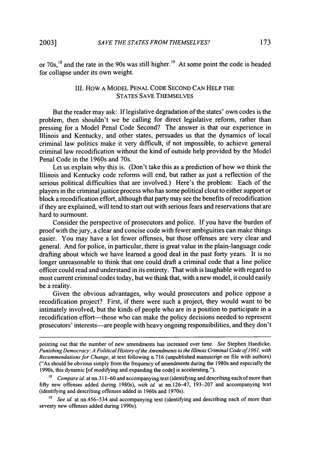or 70s,<sup>18</sup> and the rate in the 90s was still higher.<sup>19</sup> At some point the code is headed for collapse under its own weight.

#### III. HOW **A** MODEL **PENAL CODE SECOND CAN** HELP THE STATES SAVE THEMSELVES

But the reader may ask: If legislative degradation of the states' own codes is the problem, then shouldn't we be calling for direct legislative reform, rather than pressing for a Model Penal Code Second? The answer is that our experience in Illinois and Kentucky, and other states, persuades us that the dynamics of local criminal law politics make it very difficult, if not impossible, to achieve general criminal law recodification without the kind of outside help provided by the Model Penal Code in the 1960s and 70s.

Let us explain why this is. (Don't take this as a prediction of how we think the Illinois and Kentucky code reforms will end, but rather as just a reflection of the serious political difficulties that are involved.) Here's the problem: Each of the players in the criminal justice process who has some political clout to either support or block a recodification effort, although that party may see the benefits of recodification if they are explained, will tend to start out with serious fears and reservations that are hard to surmount.

Consider the perspective of prosecutors and police. If you have the burden of proof with the jury, a clear and concise code with fewer ambiguities can make things easier. You may have a lot fewer offenses, but those offenses are very clear and general. And for police, in particular, there is great value in the plain-language code drafting about which we have learned a good deal in the past forty years. It is no longer unreasonable to think that one could draft a criminal code that a line police officer could read and understand in its entirety. That wish is laughable with regard to most current criminal codes today, but we think that, with a new model, it could easily be a reality.

Given the obvious advantages, why would prosecutors and police oppose a recodification project? First, if there were such a project, they would want to be intimately involved, but the kinds of people who are in a position to participate in a recodification effort—those who can make the policy decisions needed to represent prosecutors' interests-are people with heavy ongoing responsibilities, and they don't

pointing out that the number of new amendments has increased over time. *See* Stephen Haedicke, *Punishing Democracy: A Political History of the Amendments to the Illinois Criminal Code of 1961, with Recommendations for Change,* at text following n.716 (unpublished manuscript on file with authors) ("As should be obvious simply from the frequency of amendments during the 1980s and especially the 1990s, this dynamic [of modifying and expanding the code] is accelerating.").

**<sup>18</sup>** *Compare id.* at nn.311-60 and accompanying text (identifying and describing each of more than **fifty** new offenses added during 1980s), *with id.* at rn. 126-47, 193-207 and accompanying text (identifying and describing offenses added in 1960s and 1970s).

<sup>&</sup>lt;sup>19</sup> *See id.* at nn.456–534 and accompanying text (identifying and describing each of more than seventy new offenses added during 1990s).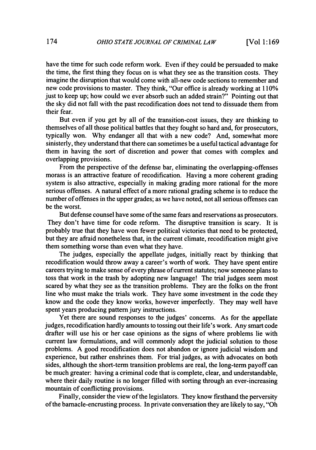have the time for such code reform work. Even if they could be persuaded to make the time, the first thing they focus on is what they see as the transition costs. They imagine the disruption that would come with all-new code sections to remember and new code provisions to master. They think, "Our office is already working at 110% just to keep up; how could we ever absorb such an added strain?" Pointing out that the sky did not fall with the past recodification does not tend to dissuade them from their fear.

But even if you get by all of the transition-cost issues, they are thinking to themselves of all those political battles that they fought so hard and, for prosecutors, typically won. Why endanger all that with a new code? And, somewhat more sinisterly, they understand that there can sometimes be a useful tactical advantage for them in having the sort of discretion and power that comes with complex and overlapping provisions.

From the perspective of the defense bar, eliminating the overlapping-offenses morass is an attractive feature of recodification. Having a more coherent grading system is also attractive, especially in making grading more rational for the more serious offenses. A natural effect of a more rational grading scheme is to reduce the number of offenses in the upper grades; as we have noted, not all serious offenses can be the worst.

But defense counsel have some of the same fears and reservations as prosecutors. They don't have time for code reform. The disruptive transition is scary. It is probably true that they have won fewer political victories that need to be protected, but they are afraid nonetheless that, in the current climate, recodification might give them something worse than even what they have.

The judges, especially the appellate judges, initially react by thinking that recodification would throw away a career's worth of work. They have spent entire careers trying to make sense of every phrase of current statutes; now someone plans to toss that work in the trash by adopting new language! The trial judges seem most scared by what they see as the transition problems. They are the folks on the front line who must make the trials work. They have some investment in the code they know and the code they know works, however imperfectly. They may well have spent years producing pattern jury instructions.

Yet there are sound responses to the judges' concerns. As for the appellate judges, recodification hardly amounts to tossing out their life's work. Any smart code drafter will use his or her case opinions as the signs of where problems lie with current law formulations, and will commonly adopt the judicial solution to those problems. A good recodification does not abandon or ignore judicial wisdom and experience, but rather enshrines them. For trial judges, as with advocates on both sides, although the short-term transition problems are real, the long-term payoff can be much greater: having a criminal code that is complete, clear, and understandable, where their daily routine is no longer filled with sorting through an ever-increasing mountain of conflicting provisions.

Finally, consider the view of the legislators. They know firsthand the perversity of the barnacle-encrusting process. In private conversation they are likely to say, "Oh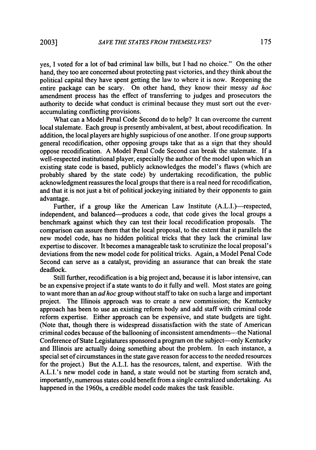yes, I voted for a lot of bad criminal law bills, but I had no choice." On the other hand, they too are concerned about protecting past victories, and they think about the political capital they have spent getting the law to where it is now. Reopening the entire package can be scary. On other hand, they know their messy *ad hoc* amendment process has the effect of transferring to judges and prosecutors the authority to decide what conduct is criminal because they must sort out the everaccumulating conflicting provisions.

What can a Model Penal Code Second do to help? It can overcome the current local stalemate. Each group is presently ambivalent, at best, about recodification. In addition, the local players are highly suspicious of one another. If one group supports general recodification, other opposing groups take that as a sign that they should oppose recodification. A Model Penal Code Second can break the stalemate. If a well-respected institutional player, especially the author of the model upon which an existing state code is based, publicly acknowledges the model's flaws (which are probably shared by the state code) by undertaking recodification, the public acknowledgment reassures the local groups that there is a real need for recodification, and that it is not just a bit of political jockeying initiated by their opponents to gain advantage.

Further, if a group like the American Law Institute (A.L.I.)—respected, independent, and balanced---produces a code, that code gives the local groups a benchmark against which they can test their local recodification proposals. The comparison can assure them that the local proposal, to the extent that it parallels the new model code, has no hidden political tricks that they lack the criminal law expertise to discover. It becomes a manageable task to scrutinize the local proposal's deviations from the new model code for political tricks. Again, a Model Penal Code Second can serve as a catalyst, providing an assurance that can break the state deadlock.

Still further, recodification is a big project and, because it is labor intensive, can be an expensive project if a state wants to do it fully and well. Most states are going to want more than an *ad hoc* group without staff to take on such a large and important project. The Illinois approach was to create a new commission; the Kentucky approach has been to use an existing reform body and add staff with criminal code reform expertise. Either approach can be expensive, and state budgets are tight. (Note that, though there is widespread dissatisfaction with the state of American criminal codes because of the ballooning of inconsistent amendments—the National Conference of State Legislatures sponsored a program on the subject-only Kentucky and Illinois are actually doing something about the problem. In each instance, a special set of circumstances in the state gave reason for access to the needed resources for the project.) But the A.L.I. has the resources, talent, and expertise. With the A.L.I.'s new model code in hand, a state would not be starting from scratch and, importantly, numerous states could benefit from a single centralized undertaking. As happened in the 1960s, a credible model code makes the task feasible.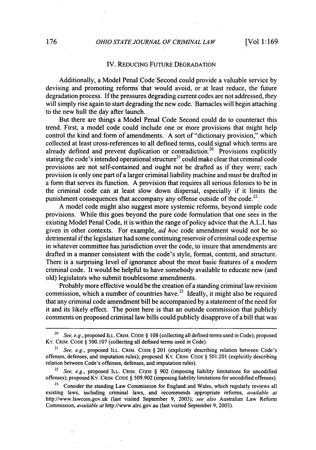#### IV. REDUCING FUTURE DEGRADATION

Additionally, a Model Penal Code Second could provide a valuable service by devising and promoting reforms that would avoid, or at least reduce, the future degradation process. If the pressures degrading current codes are not addressed, they will simply rise again to start degrading the new code. Barnacles will begin attaching to the new hull the day after launch.

But there are things a Model Penal Code Second could do to counteract this trend. First, a model code could include one or more provisions that might help control the kind and form of amendments. A sort of "dictionary provision," which collected at least cross-references to all defined terms, could signal which terms are already defined and prevent duplication or contradiction.<sup>20</sup> Provisions explicitly stating the code's intended operational structure<sup>21</sup> could make clear that criminal code provisions are not self-contained and ought not be drafted as if they were; each provision is only one part of a larger criminal liability machine and must be drafted in a form that serves its function. A provision that requires all serious felonies to be in the criminal code can at least slow down dispersal, especially if it limits the punishment consequences that accompany any offense outside of the code.<sup>22</sup>

A model code might also suggest more systemic reforms, beyond simple code provisions. While this goes beyond the pure code formulation that one sees in the existing Model Penal Code, it is within the range of policy advice that the A.L.I. has given in other contexts. For example, *ad hoc* code amendment would not be so detrimental if the legislature had some continuing reservoir of criminal code expertise in whatever committee has jurisdiction over the code, to insure that amendments are drafted in a manner consistent with the code's style, format, content, and structure. There is a surprising level of ignorance about the most basic features of a modem criminal code. It would be helpful to have somebody available to educate new (and old) legislators who submit troublesome amendments.

Probably more effective would be the creation of a standing criminal law revision commission, which a number of countries have.<sup>23</sup> Ideally, it might also be required that any criminal code amendment bill be accompanied by a statement of the need for it and its likely effect. The point here is that an outside commission that publicly comments on proposed criminal law bills could publicly disapprove of a bill that was

<sup>22</sup>*See, e.g.,* proposed ILL. CRIM. **CODE** § 902 (imposing liability limitations for uncodified offenses); proposed Ky. CRIM. **CODE** § 509.902 (imposing liability limitations for uncodified offenses).

<sup>20</sup>See, e.g., proposed ILL. CRIM. **CODE** § **108** (collecting all defined terms used in Code); proposed KY. CRIM. **CODE** § 500.107 (collecting all defined terms used in Code).

<sup>21</sup> *See, e.g.,* proposed ILL. CRIM. **CODE** § 201 (explicitly describing relation between Code's offenses, defenses, and imputation rules); proposed Ky. CRIM. **CODE** § 501.201 (explicitly describing relation between Code's offenses, defenses, and imputation rules).

<sup>&</sup>lt;sup>23</sup> Consider the standing Law Commission for England and Wales, which regularly reviews all existing laws, including criminal laws, and recommends appropriate reforms, *available at* http://www.lawcom.gov.uk (last visited September 9, 2003); *see also* Australian Law Reform Commission, *available at* http://www.alrc.gov.au (last visited September 9, 2003).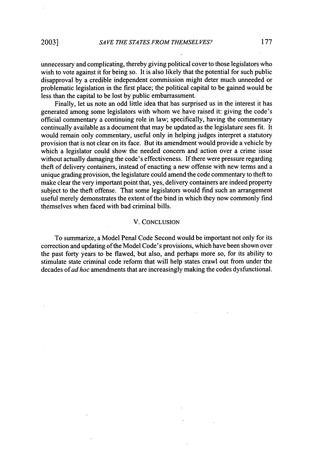unnecessary and complicating, thereby giving political cover to those legislators who wish to vote against it for being so. It is also likely that the potential for such public disapproval by a credible independent commission might deter much unneeded or problematic legislation in the first place; the political capital to be gained would be less than the capital to be lost by public embarrassment.

Finally, let us note an odd little idea that has surprised us in the interest it has generated among some legislators with whom we have raised it: giving the code's official commentary a continuing role in law; specifically, having the commentary continually available as a document that may be updated as the legislature sees fit. It would remain only commentary, useful only in helping judges interpret a statutory provision that is not clear on its face. But its amendment would provide a vehicle by which a legislator could show the needed concern and'action over a crime issue without actually damaging the code's effectiveness. If there were pressure regarding theft of delivery containers, instead of enacting a new offense with new terms and a unique grading provision, the legislature could amend the code commentary to theft to make clear the very important point that, yes, delivery containers are indeed property subject to the theft offense. That some legislators would find such an arrangement useful merely demonstrates the extent of the bind in which they now commonly find themselves when faced with bad criminal bills.

#### V. CONCLUSION

To summarize, a Model Penal Code Second would be important not only for its correction and updating of the Model Code's provisions, which have been shown over the past forty years to be flawed, but also, and perhaps more so, for its ability to stimulate state criminal code reform that will help states crawl out from under the decades of *ad hoc* amendments that are increasingly making the codes dysfunctional.